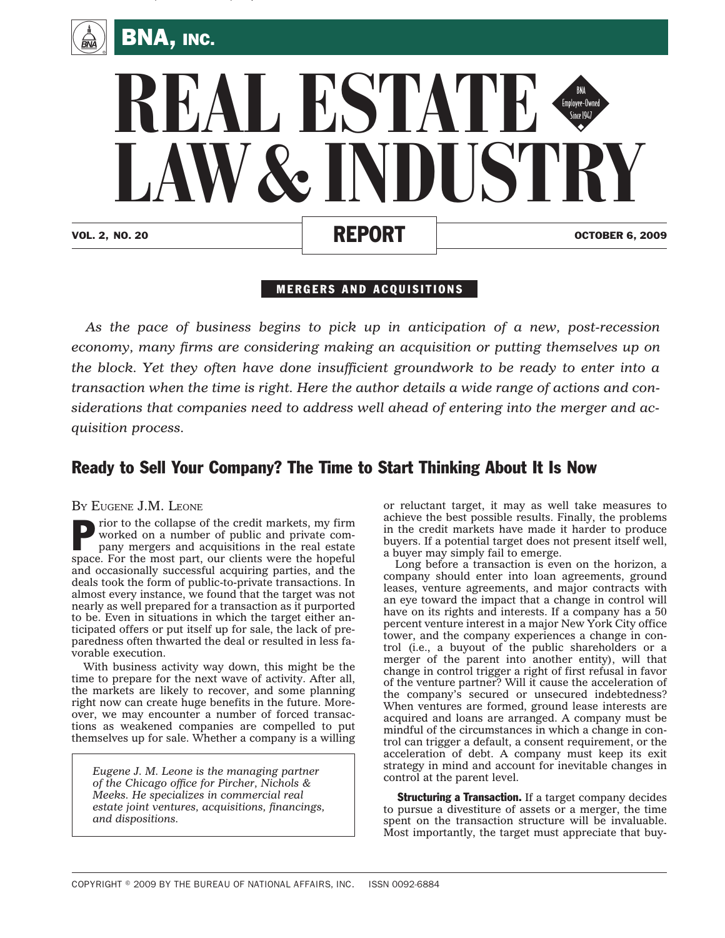

, and the contract of the contract of the contract of the contract of the contract of the contract of the contract of the contract of the contract of the contract of the contract of the contract of the contract of the con



## MERGERS AND ACQUISITIONS

*As the pace of business begins to pick up in anticipation of a new, post-recession economy, many firms are considering making an acquisition or putting themselves up on the block. Yet they often have done insufficient groundwork to be ready to enter into a transaction when the time is right. Here the author details a wide range of actions and considerations that companies need to address well ahead of entering into the merger and acquisition process.*

## Ready to Sell Your Company? The Time to Start Thinking About It Is Now

BY EUGENE J.M. LEONE

Prior to the collapse of the credit markets, my firm<br>worked on a number of public and private com-<br>pany mergers and acquisitions in the real estate worked on a number of public and private company mergers and acquisitions in the real estate space. For the most part, our clients were the hopeful and occasionally successful acquiring parties, and the deals took the form of public-to-private transactions. In almost every instance, we found that the target was not nearly as well prepared for a transaction as it purported to be. Even in situations in which the target either anticipated offers or put itself up for sale, the lack of preparedness often thwarted the deal or resulted in less favorable execution.

With business activity way down, this might be the time to prepare for the next wave of activity. After all, the markets are likely to recover, and some planning right now can create huge benefits in the future. Moreover, we may encounter a number of forced transactions as weakened companies are compelled to put themselves up for sale. Whether a company is a willing

*Eugene J. M. Leone is the managing partner of the Chicago office for Pircher, Nichols & Meeks. He specializes in commercial real estate joint ventures, acquisitions, financings, and dispositions.*

or reluctant target, it may as well take measures to achieve the best possible results. Finally, the problems in the credit markets have made it harder to produce buyers. If a potential target does not present itself well, a buyer may simply fail to emerge.

Long before a transaction is even on the horizon, a company should enter into loan agreements, ground leases, venture agreements, and major contracts with an eye toward the impact that a change in control will have on its rights and interests. If a company has a 50 percent venture interest in a major New York City office tower, and the company experiences a change in control (i.e., a buyout of the public shareholders or a merger of the parent into another entity), will that change in control trigger a right of first refusal in favor of the venture partner? Will it cause the acceleration of the company's secured or unsecured indebtedness? When ventures are formed, ground lease interests are acquired and loans are arranged. A company must be mindful of the circumstances in which a change in control can trigger a default, a consent requirement, or the acceleration of debt. A company must keep its exit strategy in mind and account for inevitable changes in control at the parent level.

Structuring a Transaction. If a target company decides to pursue a divestiture of assets or a merger, the time spent on the transaction structure will be invaluable. Most importantly, the target must appreciate that buy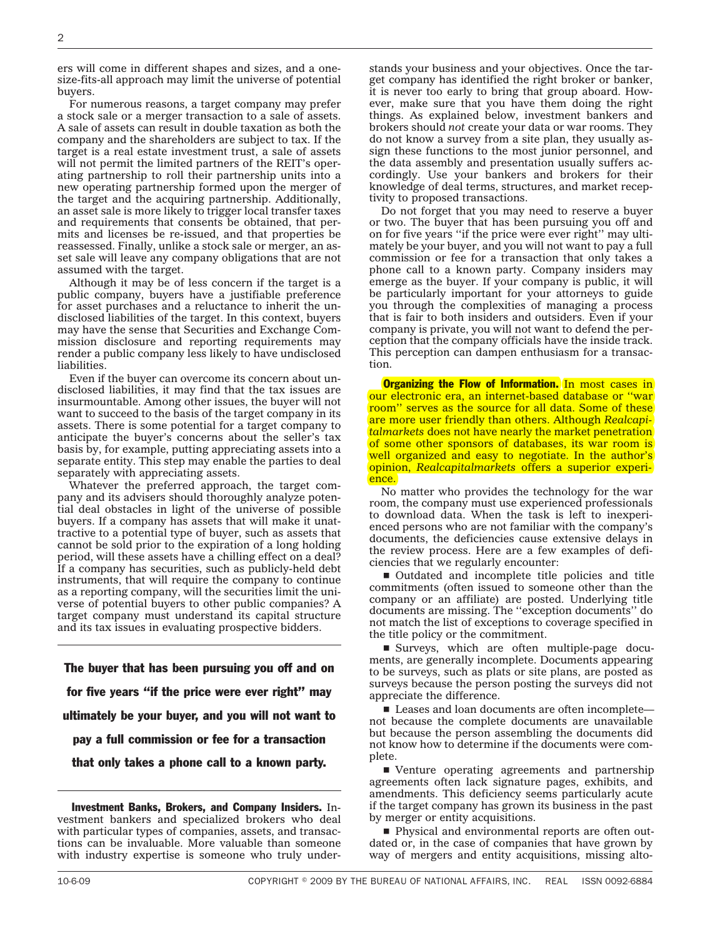ers will come in different shapes and sizes, and a onesize-fits-all approach may limit the universe of potential buyers.

For numerous reasons, a target company may prefer a stock sale or a merger transaction to a sale of assets. A sale of assets can result in double taxation as both the company and the shareholders are subject to tax. If the target is a real estate investment trust, a sale of assets will not permit the limited partners of the REIT's operating partnership to roll their partnership units into a new operating partnership formed upon the merger of the target and the acquiring partnership. Additionally, an asset sale is more likely to trigger local transfer taxes and requirements that consents be obtained, that permits and licenses be re-issued, and that properties be reassessed. Finally, unlike a stock sale or merger, an asset sale will leave any company obligations that are not assumed with the target.

Although it may be of less concern if the target is a public company, buyers have a justifiable preference for asset purchases and a reluctance to inherit the undisclosed liabilities of the target. In this context, buyers may have the sense that Securities and Exchange Commission disclosure and reporting requirements may render a public company less likely to have undisclosed liabilities.

Even if the buyer can overcome its concern about undisclosed liabilities, it may find that the tax issues are insurmountable. Among other issues, the buyer will not want to succeed to the basis of the target company in its assets. There is some potential for a target company to anticipate the buyer's concerns about the seller's tax basis by, for example, putting appreciating assets into a separate entity. This step may enable the parties to deal separately with appreciating assets.

Whatever the preferred approach, the target company and its advisers should thoroughly analyze potential deal obstacles in light of the universe of possible buyers. If a company has assets that will make it unattractive to a potential type of buyer, such as assets that cannot be sold prior to the expiration of a long holding period, will these assets have a chilling effect on a deal? If a company has securities, such as publicly-held debt instruments, that will require the company to continue as a reporting company, will the securities limit the universe of potential buyers to other public companies? A target company must understand its capital structure and its tax issues in evaluating prospective bidders.

The buyer that has been pursuing you off and on for five years ''if the price were ever right'' may ultimately be your buyer, and you will not want to pay a full commission or fee for a transaction that only takes a phone call to a known party.

Investment Banks, Brokers, and Company Insiders. Investment bankers and specialized brokers who deal with particular types of companies, assets, and transactions can be invaluable. More valuable than someone with industry expertise is someone who truly understands your business and your objectives. Once the target company has identified the right broker or banker, it is never too early to bring that group aboard. However, make sure that you have them doing the right things. As explained below, investment bankers and brokers should *not* create your data or war rooms. They do not know a survey from a site plan, they usually assign these functions to the most junior personnel, and the data assembly and presentation usually suffers accordingly. Use your bankers and brokers for their knowledge of deal terms, structures, and market receptivity to proposed transactions.

Do not forget that you may need to reserve a buyer or two. The buyer that has been pursuing you off and on for five years ''if the price were ever right'' may ultimately be your buyer, and you will not want to pay a full commission or fee for a transaction that only takes a phone call to a known party. Company insiders may emerge as the buyer. If your company is public, it will be particularly important for your attorneys to guide you through the complexities of managing a process that is fair to both insiders and outsiders. Even if your company is private, you will not want to defend the perception that the company officials have the inside track. This perception can dampen enthusiasm for a transaction.

**Organizing the Flow of Information.** In most cases in our electronic era, an internet-based database or ''war room'' serves as the source for all data. Some of these are more user friendly than others. Although *Realcapitalmarkets* does not have nearly the market penetration of some other sponsors of databases, its war room is well organized and easy to negotiate. In the author's opinion, *Realcapitalmarkets* offers a superior experience.

No matter who provides the technology for the war room, the company must use experienced professionals to download data. When the task is left to inexperienced persons who are not familiar with the company's documents, the deficiencies cause extensive delays in the review process. Here are a few examples of deficiencies that we regularly encounter:

■ Outdated and incomplete title policies and title commitments (often issued to someone other than the company or an affiliate) are posted. Underlying title documents are missing. The ''exception documents'' do not match the list of exceptions to coverage specified in the title policy or the commitment.

■ Surveys, which are often multiple-page documents, are generally incomplete. Documents appearing to be surveys, such as plats or site plans, are posted as surveys because the person posting the surveys did not appreciate the difference.

 $\blacksquare$  Leases and loan documents are often incomplete not because the complete documents are unavailable but because the person assembling the documents did not know how to determine if the documents were complete.

 $\blacksquare$  Venture operating agreements and partnership agreements often lack signature pages, exhibits, and amendments. This deficiency seems particularly acute if the target company has grown its business in the past by merger or entity acquisitions.

■ Physical and environmental reports are often outdated or, in the case of companies that have grown by way of mergers and entity acquisitions, missing alto-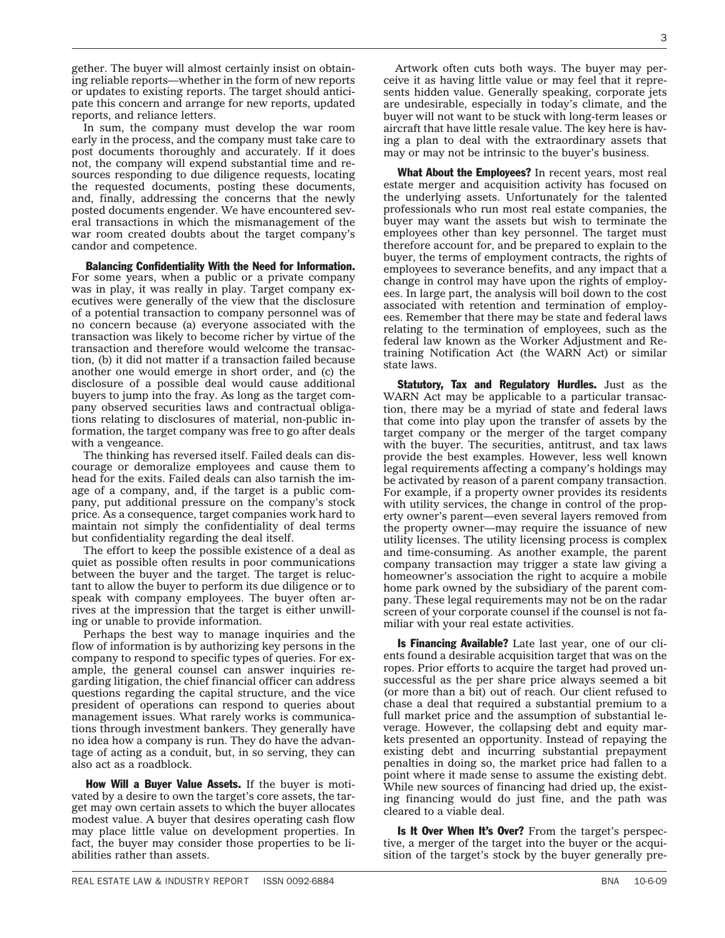gether. The buyer will almost certainly insist on obtaining reliable reports—whether in the form of new reports or updates to existing reports. The target should anticipate this concern and arrange for new reports, updated reports, and reliance letters.

In sum, the company must develop the war room early in the process, and the company must take care to post documents thoroughly and accurately. If it does not, the company will expend substantial time and resources responding to due diligence requests, locating the requested documents, posting these documents, and, finally, addressing the concerns that the newly posted documents engender. We have encountered several transactions in which the mismanagement of the war room created doubts about the target company's candor and competence.

Balancing Confidentiality With the Need for Information. For some years, when a public or a private company was in play, it was really in play. Target company executives were generally of the view that the disclosure of a potential transaction to company personnel was of no concern because (a) everyone associated with the transaction was likely to become richer by virtue of the transaction and therefore would welcome the transaction, (b) it did not matter if a transaction failed because another one would emerge in short order, and (c) the disclosure of a possible deal would cause additional buyers to jump into the fray. As long as the target company observed securities laws and contractual obligations relating to disclosures of material, non-public information, the target company was free to go after deals with a vengeance.

The thinking has reversed itself. Failed deals can discourage or demoralize employees and cause them to head for the exits. Failed deals can also tarnish the image of a company, and, if the target is a public company, put additional pressure on the company's stock price. As a consequence, target companies work hard to maintain not simply the confidentiality of deal terms but confidentiality regarding the deal itself.

The effort to keep the possible existence of a deal as quiet as possible often results in poor communications between the buyer and the target. The target is reluctant to allow the buyer to perform its due diligence or to speak with company employees. The buyer often arrives at the impression that the target is either unwilling or unable to provide information.

Perhaps the best way to manage inquiries and the flow of information is by authorizing key persons in the company to respond to specific types of queries. For example, the general counsel can answer inquiries regarding litigation, the chief financial officer can address questions regarding the capital structure, and the vice president of operations can respond to queries about management issues. What rarely works is communications through investment bankers. They generally have no idea how a company is run. They do have the advantage of acting as a conduit, but, in so serving, they can also act as a roadblock.

How Will a Buyer Value Assets. If the buyer is motivated by a desire to own the target's core assets, the target may own certain assets to which the buyer allocates modest value. A buyer that desires operating cash flow may place little value on development properties. In fact, the buyer may consider those properties to be liabilities rather than assets.

Artwork often cuts both ways. The buyer may perceive it as having little value or may feel that it represents hidden value. Generally speaking, corporate jets are undesirable, especially in today's climate, and the buyer will not want to be stuck with long-term leases or aircraft that have little resale value. The key here is having a plan to deal with the extraordinary assets that may or may not be intrinsic to the buyer's business.

What About the Employees? In recent years, most real estate merger and acquisition activity has focused on the underlying assets. Unfortunately for the talented professionals who run most real estate companies, the buyer may want the assets but wish to terminate the employees other than key personnel. The target must therefore account for, and be prepared to explain to the buyer, the terms of employment contracts, the rights of employees to severance benefits, and any impact that a change in control may have upon the rights of employees. In large part, the analysis will boil down to the cost associated with retention and termination of employees. Remember that there may be state and federal laws relating to the termination of employees, such as the federal law known as the Worker Adjustment and Retraining Notification Act (the WARN Act) or similar state laws.

Statutory, Tax and Regulatory Hurdles. Just as the WARN Act may be applicable to a particular transaction, there may be a myriad of state and federal laws that come into play upon the transfer of assets by the target company or the merger of the target company with the buyer. The securities, antitrust, and tax laws provide the best examples. However, less well known legal requirements affecting a company's holdings may be activated by reason of a parent company transaction. For example, if a property owner provides its residents with utility services, the change in control of the property owner's parent—even several layers removed from the property owner—may require the issuance of new utility licenses. The utility licensing process is complex and time-consuming. As another example, the parent company transaction may trigger a state law giving a homeowner's association the right to acquire a mobile home park owned by the subsidiary of the parent company. These legal requirements may not be on the radar screen of your corporate counsel if the counsel is not familiar with your real estate activities.

Is Financing Available? Late last year, one of our clients found a desirable acquisition target that was on the ropes. Prior efforts to acquire the target had proved unsuccessful as the per share price always seemed a bit (or more than a bit) out of reach. Our client refused to chase a deal that required a substantial premium to a full market price and the assumption of substantial leverage. However, the collapsing debt and equity markets presented an opportunity. Instead of repaying the existing debt and incurring substantial prepayment penalties in doing so, the market price had fallen to a point where it made sense to assume the existing debt. While new sources of financing had dried up, the existing financing would do just fine, and the path was cleared to a viable deal.

Is It Over When It's Over? From the target's perspective, a merger of the target into the buyer or the acquisition of the target's stock by the buyer generally pre